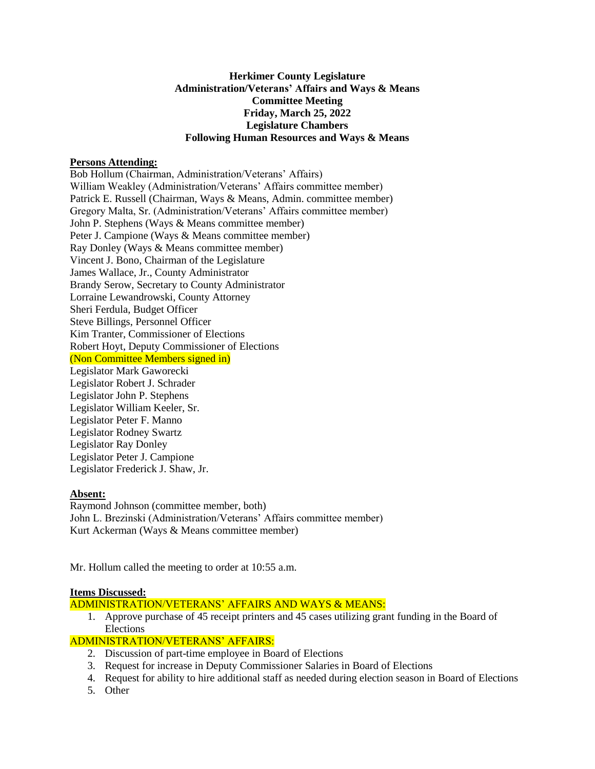# **Herkimer County Legislature Administration/Veterans' Affairs and Ways & Means Committee Meeting Friday, March 25, 2022 Legislature Chambers Following Human Resources and Ways & Means**

## **Persons Attending:**

Bob Hollum (Chairman, Administration/Veterans' Affairs) William Weakley (Administration/Veterans' Affairs committee member) Patrick E. Russell (Chairman, Ways & Means, Admin. committee member) Gregory Malta, Sr. (Administration/Veterans' Affairs committee member) John P. Stephens (Ways & Means committee member) Peter J. Campione (Ways & Means committee member) Ray Donley (Ways & Means committee member) Vincent J. Bono, Chairman of the Legislature James Wallace, Jr., County Administrator Brandy Serow, Secretary to County Administrator Lorraine Lewandrowski, County Attorney Sheri Ferdula, Budget Officer Steve Billings, Personnel Officer Kim Tranter, Commissioner of Elections Robert Hoyt, Deputy Commissioner of Elections (Non Committee Members signed in) Legislator Mark Gaworecki Legislator Robert J. Schrader Legislator John P. Stephens Legislator William Keeler, Sr. Legislator Peter F. Manno Legislator Rodney Swartz Legislator Ray Donley Legislator Peter J. Campione Legislator Frederick J. Shaw, Jr.

# **Absent:**

Raymond Johnson (committee member, both) John L. Brezinski (Administration/Veterans' Affairs committee member) Kurt Ackerman (Ways & Means committee member)

Mr. Hollum called the meeting to order at 10:55 a.m.

## **Items Discussed:**

# ADMINISTRATION/VETERANS' AFFAIRS AND WAYS & MEANS:

1. Approve purchase of 45 receipt printers and 45 cases utilizing grant funding in the Board of Elections

# ADMINISTRATION/VETERANS' AFFAIRS:

- 2. Discussion of part-time employee in Board of Elections
- 3. Request for increase in Deputy Commissioner Salaries in Board of Elections
- 4. Request for ability to hire additional staff as needed during election season in Board of Elections
- 5. Other